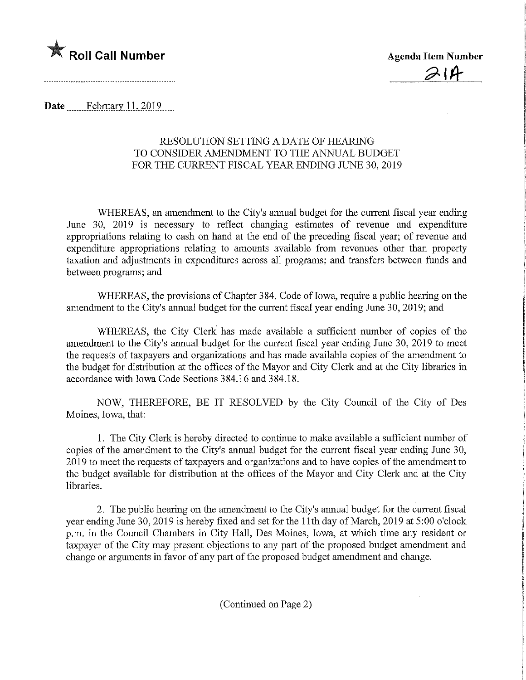

 $\mathcal{D}$ 

Date.......February. 1.L2019,

## RESOLUTION SETTING A DATE OF HEARING TO CONSIDER AMENDMENT TO THE ANNUAL BUDGET FOR THE CURRENT FISCAL YEAR ENDING JUNE 30, 2019

WHEREAS, an amendment to the City's annual budget for the current fiscal year ending June 30, 2019 is necessary to reflect changing estimates of revenue and expenditure appropriations relating to cash on hand at the end of the preceding fiscal year; of revenue and expenditure appropriations relating to amounts available from revenues other than property taxation and adjustments in expenditures across all programs; and transfers between funds and between programs; and

WHEREAS, the provisions of Chapter 384, Code of Iowa, require a public hearing on the amendment to the City's annual budget for the current fiscal year ending June 30, 2019; and

WHEREAS, the City Clerk has made available a sufficient number of copies of the amendment to the City's annual budget for the current fiscal year ending June 30, 2019 to meet the requests of taxpayers and organizations and has made available copies of the amendment to the budget for distribution at the offices of the Mayor and City Clerk and at the City libraries in accordance with Iowa Code Sections 384.16 and 384.18.

NOW, THEREFORE, BE IT RESOLVED by the City Council of the City of Des Moines, Iowa, that:

1. The City Clerk is hereby directed to continue to make available a sufficient number of copies of the amendment to the City's annual budget for the current fiscal year ending June 30, 2019 to meet the requests of taxpayers and organizations and to have copies of the amendment to the budget available for distribution at the offices of the Mayor and City Clerk and at the City libraries.

2. The public hearing on the amendment to the City's annual budget for the current fiscal year ending June 30, 2019 is hereby fixed and set for the llth day of March, 2019 at 5:00 o'clock p.m. in the Council Chambers in City Hall, Des Moines, Iowa, at which time any resident or taxpayer of the City may present objections to any part of the proposed budget amendment and change or arguments in favor of any part of the proposed budget amendment and change.

(Continued on Page 2)